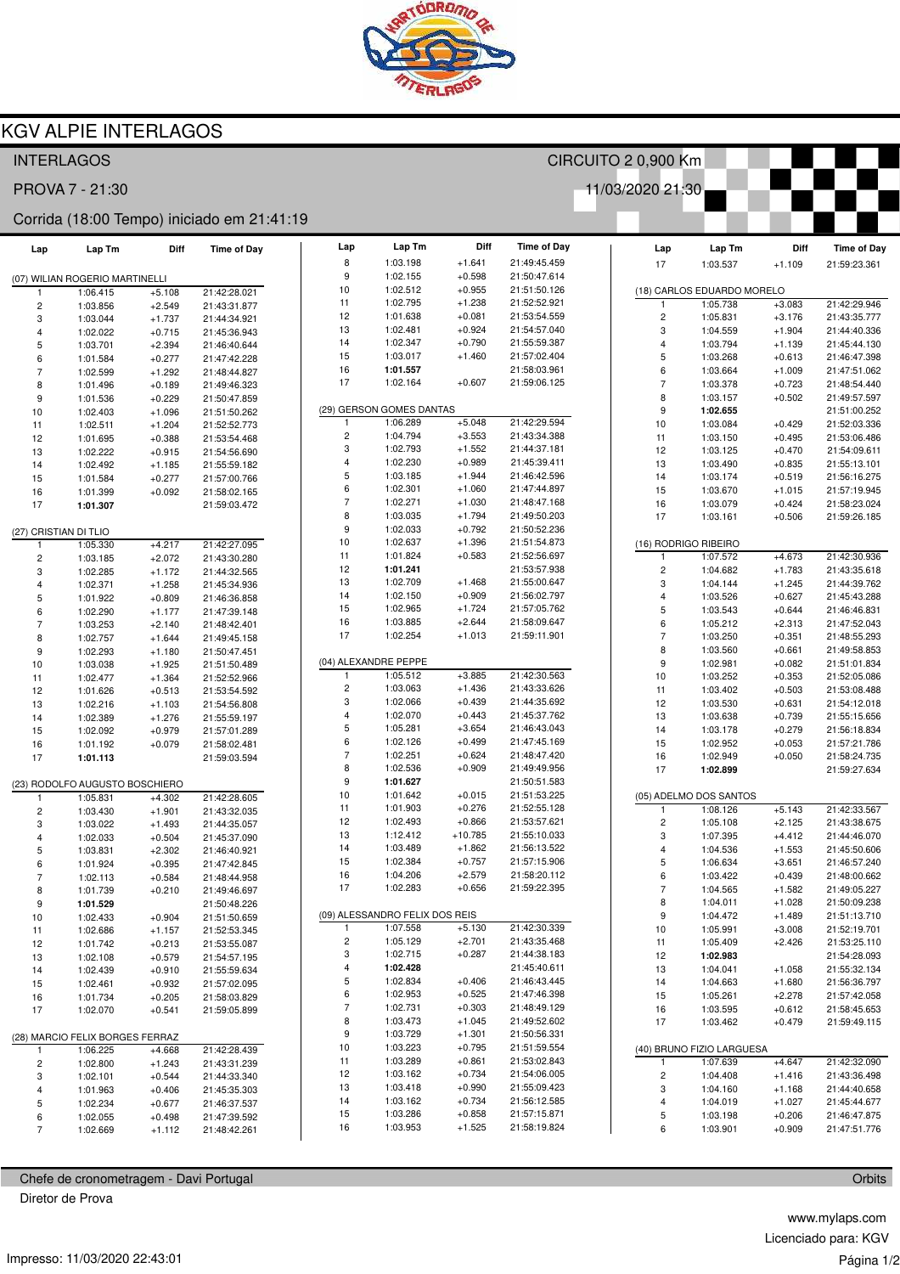

## **KGV ALPIE INTERLAGOS**

| <b>INTERLAGOS</b><br>CIRCUITO 2 0,900 Km   |                                |                      |                              |                         |                                |                       |                              |  |                              |                            |                      |                              |
|--------------------------------------------|--------------------------------|----------------------|------------------------------|-------------------------|--------------------------------|-----------------------|------------------------------|--|------------------------------|----------------------------|----------------------|------------------------------|
| PROVA 7 - 21:30<br>11/03/2020 21:30        |                                |                      |                              |                         |                                |                       |                              |  |                              |                            |                      |                              |
| Corrida (18:00 Tempo) iniciado em 21:41:19 |                                |                      |                              |                         |                                |                       |                              |  |                              |                            |                      |                              |
| Lap                                        | Lap Tm                         | Diff                 | <b>Time of Day</b>           | Lap                     | Lap Tm                         | Diff                  | <b>Time of Day</b>           |  | Lap                          | Lap Tm                     | Diff                 | <b>Time of Day</b>           |
|                                            |                                |                      |                              | 8                       | 1:03.198                       | $+1.641$              | 21:49:45.459                 |  | 17                           | 1:03.537                   | $+1.109$             | 21:59:23.361                 |
|                                            | (07) WILIAN ROGERIO MARTINELLI |                      |                              | 9                       | 1:02.155                       | $+0.598$              | 21:50:47.614                 |  |                              |                            |                      |                              |
| 1                                          | 1:06.415                       | $+5.108$             | 21:42:28.021                 | 10                      | 1:02.512                       | $+0.955$              | 21:51:50.126                 |  |                              | (18) CARLOS EDUARDO MORELO |                      |                              |
| $\overline{\mathbf{c}}$                    | 1:03.856                       | $+2.549$             | 21:43:31.877                 | 11                      | 1:02.795                       | $+1.238$              | 21:52:52.921                 |  | $\mathbf{1}$                 | 1:05.738                   | $+3.083$             | 21:42:29.946                 |
| 3                                          | 1:03.044                       | $+1.737$             | 21:44:34.921                 | 12                      | 1:01.638                       | $+0.081$              | 21:53:54.559                 |  | $\overline{\mathbf{c}}$      | 1:05.831                   | $+3.176$             | 21:43:35.777                 |
| 4                                          | 1:02.022                       | $+0.715$             | 21:45:36.943                 | 13<br>14                | 1:02.481<br>1:02.347           | $+0.924$<br>$+0.790$  | 21:54:57.040<br>21:55:59.387 |  | 3                            | 1:04.559                   | $+1.904$             | 21:44:40.336                 |
| 5                                          | 1:03.701                       | $+2.394$             | 21:46:40.644                 | 15                      | 1:03.017                       | $+1.460$              | 21:57:02.404                 |  | $\overline{4}$<br>5          | 1:03.794<br>1:03.268       | $+1.139$<br>$+0.613$ | 21:45:44.130<br>21:46:47.398 |
| 6<br>$\overline{7}$                        | 1:01.584<br>1:02.599           | $+0.277$<br>$+1.292$ | 21:47:42.228                 | 16                      | 1:01.557                       |                       | 21:58:03.961                 |  | 6                            | 1:03.664                   | $+1.009$             | 21:47:51.062                 |
| 8                                          | 1:01.496                       | $+0.189$             | 21:48:44.827<br>21:49:46.323 | 17                      | 1:02.164                       | $+0.607$              | 21:59:06.125                 |  | $\overline{7}$               | 1:03.378                   | $+0.723$             | 21:48:54.440                 |
| 9                                          | 1:01.536                       | $+0.229$             | 21:50:47.859                 |                         |                                |                       |                              |  | 8                            | 1:03.157                   | $+0.502$             | 21:49:57.597                 |
| 10                                         | 1:02.403                       | $+1.096$             | 21:51:50.262                 |                         | (29) GERSON GOMES DANTAS       |                       |                              |  | 9                            | 1:02.655                   |                      | 21:51:00.252                 |
| 11                                         | 1:02.511                       | $+1.204$             | 21:52:52.773                 | 1                       | 1:06.289                       | $+5.048$              | 21:42:29.594                 |  | $10$                         | 1:03.084                   | $+0.429$             | 21:52:03.336                 |
| 12                                         | 1:01.695                       | $+0.388$             | 21:53:54.468                 | $\overline{\mathbf{c}}$ | 1:04.794                       | $+3.553$              | 21:43:34.388                 |  | 11                           | 1:03.150                   | $+0.495$             | 21:53:06.486                 |
| 13                                         | 1:02.222                       | $+0.915$             | 21:54:56.690                 | 3                       | 1:02.793                       | $+1.552$              | 21:44:37.181                 |  | 12                           | 1:03.125                   | $+0.470$             | 21:54:09.611                 |
| 14                                         | 1:02.492                       | $+1.185$             | 21:55:59.182                 | 4                       | 1:02.230                       | $+0.989$              | 21:45:39.411                 |  | 13                           | 1:03.490                   | $+0.835$             | 21:55:13.101                 |
| 15                                         | 1:01.584                       | $+0.277$             | 21:57:00.766                 | 5                       | 1:03.185                       | $+1.944$              | 21:46:42.596                 |  | 14                           | 1:03.174                   | $+0.519$             | 21:56:16.275                 |
| 16                                         | 1:01.399                       | $+0.092$             | 21:58:02.165                 | 6                       | 1:02.301                       | $+1.060$              | 21:47:44.897                 |  | 15                           | 1:03.670                   | $+1.015$             | 21:57:19.945                 |
| 17                                         | 1:01.307                       |                      | 21:59:03.472                 | $\overline{7}$          | 1:02.271                       | $+1.030$              | 21:48:47.168                 |  | 16                           | 1:03.079                   | $+0.424$             | 21:58:23.024                 |
|                                            |                                |                      |                              | 8                       | 1:03.035                       | $+1.794$              | 21:49:50.203                 |  | 17                           | 1:03.161                   | $+0.506$             | 21:59:26.185                 |
| (27) CRISTIAN DI TLIO                      |                                |                      |                              | 9                       | 1:02.033                       | $+0.792$              | 21:50:52.236                 |  |                              |                            |                      |                              |
| $\mathbf{1}$                               | 1:05.330                       | $+4.217$             | 21:42:27.095                 | 10                      | 1:02.637                       | $+1.396$              | 21:51:54.873                 |  |                              | (16) RODRIGO RIBEIRO       |                      |                              |
| 2                                          | 1:03.185                       | $+2.072$             | 21:43:30.280                 | 11                      | 1:01.824                       | $+0.583$              | 21:52:56.697                 |  | $\mathbf{1}$                 | 1:07.572                   | $+4.673$             | 21:42:30.936                 |
| 3                                          | 1:02.285                       | $+1.172$             | 21:44:32.565                 | 12                      | 1:01.241                       |                       | 21:53:57.938                 |  | $\overline{\mathbf{c}}$      | 1:04.682                   | $+1.783$             | 21:43:35.618                 |
| 4                                          | 1:02.371                       | $+1.258$             | 21:45:34.936                 | 13<br>14                | 1:02.709<br>1:02.150           | $+1.468$              | 21:55:00.647<br>21:56:02.797 |  | 3                            | 1:04.144                   | $+1.245$             | 21:44:39.762                 |
| 5                                          | 1:01.922                       | $+0.809$             | 21:46:36.858                 | 15                      | 1:02.965                       | $+0.909$<br>$+1.724$  | 21:57:05.762                 |  | $\overline{4}$               | 1:03.526                   | $+0.627$             | 21:45:43.288                 |
| 6                                          | 1:02.290                       | $+1.177$             | 21:47:39.148                 | 16                      | 1:03.885                       | $+2.644$              | 21:58:09.647                 |  | 5<br>6                       | 1:03.543<br>1:05.212       | $+0.644$<br>$+2.313$ | 21:46:46.831<br>21:47:52.043 |
| $\overline{7}$                             | 1:03.253                       | $+2.140$             | 21:48:42.401                 | 17                      | 1:02.254                       | $+1.013$              | 21:59:11.901                 |  | $\overline{7}$               | 1:03.250                   | $+0.351$             | 21:48:55.293                 |
| 8<br>9                                     | 1:02.757                       | $+1.644$             | 21:49:45.158                 |                         |                                |                       |                              |  | 8                            | 1:03.560                   | $+0.661$             | 21:49:58.853                 |
| 10                                         | 1:02.293<br>1:03.038           | $+1.180$<br>$+1.925$ | 21:50:47.451<br>21:51:50.489 |                         | (04) ALEXANDRE PEPPE           |                       |                              |  | 9                            | 1:02.981                   | $+0.082$             | 21:51:01.834                 |
| 11                                         | 1:02.477                       | $+1.364$             | 21:52:52.966                 |                         | 1:05.512                       | $+3.885$              | 21:42:30.563                 |  | 10                           | 1:03.252                   | $+0.353$             | 21:52:05.086                 |
| 12                                         | 1:01.626                       | $+0.513$             | 21:53:54.592                 | 2                       | 1:03.063                       | $+1.436$              | 21:43:33.626                 |  | 11                           | 1:03.402                   | $+0.503$             | 21:53:08.488                 |
| 13                                         | 1:02.216                       | $+1.103$             | 21:54:56.808                 | 3                       | 1:02.066                       | $+0.439$              | 21:44:35.692                 |  | 12                           | 1:03.530                   | $+0.631$             | 21:54:12.018                 |
| 14                                         | 1:02.389                       | $+1.276$             | 21:55:59.197                 | 4                       | 1:02.070                       | $+0.443$              | 21:45:37.762                 |  | 13                           | 1:03.638                   | $+0.739$             | 21:55:15.656                 |
| 15                                         | 1:02.092                       | $+0.979$             | 21:57:01.289                 | 5                       | 1:05.281                       | $+3.654$              | 21:46:43.043                 |  | 14                           | 1:03.178                   | $+0.279$             | 21:56:18.834                 |
| 16                                         | 1:01.192                       | $+0.079$             | 21:58:02.481                 | 6                       | 1:02.126                       | $+0.499$              | 21:47:45.169                 |  | 15                           | 1:02.952                   | $+0.053$             | 21:57:21.786                 |
| 17                                         | 1:01.113                       |                      | 21:59:03.594                 | $\overline{7}$          | 1:02.251                       | $+0.624$              | 21:48:47.420                 |  | 16                           | 1:02.949                   | $+0.050$             | 21:58:24.735                 |
|                                            |                                |                      |                              | 8                       | 1:02.536                       | $+0.909$              | 21:49:49.956                 |  | 17                           | 1:02.899                   |                      | 21:59:27.634                 |
|                                            | (23) RODOLFO AUGUSTO BOSCHIERO |                      |                              | 9                       | 1:01.627                       |                       | 21:50:51.583                 |  |                              |                            |                      |                              |
| $\overline{1}$                             | 1:05.831                       | $+4.302$             | 21:42:28.605                 | 10                      | 1:01.642                       | $+0.015$              | 21:51:53.225                 |  |                              | (05) ADELMO DOS SANTOS     |                      |                              |
| $\overline{\mathbf{c}}$                    | 1:03.430                       | $+1.901$             | 21:43:32.035                 | 11<br>12                | 1:01.903<br>1:02.493           | $+0.276$              | 21:52:55.128                 |  | 1                            | 1:08.126                   | $+5.143$             | 21:42:33.567                 |
| 3                                          | 1:03.022                       | $+1.493$             | 21:44:35.057                 | 13                      | 1:12.412                       | $+0.866$<br>$+10.785$ | 21:53:57.621<br>21:55:10.033 |  | $\overline{c}$               | 1:05.108                   | $+2.125$             | 21:43:38.675                 |
| 4                                          | 1:02.033                       | $+0.504$             | 21:45:37.090                 | 14                      | 1:03.489                       | $+1.862$              | 21:56:13.522                 |  | 3<br>4                       | 1:07.395<br>1:04.536       | $+4.412$             | 21:44:46.070<br>21:45:50.606 |
| 5<br>6                                     | 1:03.831<br>1:01.924           | $+2.302$<br>$+0.395$ | 21:46:40.921<br>21:47:42.845 | 15                      | 1:02.384                       | $+0.757$              | 21:57:15.906                 |  | 5                            | 1:06.634                   | $+1.553$<br>$+3.651$ | 21:46:57.240                 |
| 7                                          | 1:02.113                       | $+0.584$             | 21:48:44.958                 | 16                      | 1:04.206                       | $+2.579$              | 21:58:20.112                 |  | 6                            | 1:03.422                   | $+0.439$             | 21:48:00.662                 |
| 8                                          | 1:01.739                       | $+0.210$             | 21:49:46.697                 | 17                      | 1:02.283                       | $+0.656$              | 21:59:22.395                 |  | $\overline{7}$               | 1:04.565                   | $+1.582$             | 21:49:05.227                 |
| 9                                          | 1:01.529                       |                      | 21:50:48.226                 |                         |                                |                       |                              |  | 8                            | 1:04.011                   | $+1.028$             | 21:50:09.238                 |
| 10                                         | 1:02.433                       | $+0.904$             | 21:51:50.659                 |                         | (09) ALESSANDRO FELIX DOS REIS |                       |                              |  | 9                            | 1:04.472                   | $+1.489$             | 21:51:13.710                 |
| 11                                         | 1:02.686                       | $+1.157$             | 21:52:53.345                 | 1                       | 1:07.558                       | $+5.130$              | 21:42:30.339                 |  | 10                           | 1:05.991                   | $+3.008$             | 21:52:19.701                 |
| 12                                         | 1:01.742                       | $+0.213$             | 21:53:55.087                 | $\overline{c}$          | 1:05.129                       | $+2.701$              | 21:43:35.468                 |  | 11                           | 1:05.409                   | $+2.426$             | 21:53:25.110                 |
| 13                                         | 1:02.108                       | $+0.579$             | 21:54:57.195                 | 3                       | 1:02.715                       | $+0.287$              | 21:44:38.183                 |  | 12                           | 1:02.983                   |                      | 21:54:28.093                 |
| 14                                         | 1:02.439                       | $+0.910$             | 21:55:59.634                 | 4                       | 1:02.428                       |                       | 21:45:40.611                 |  | 13                           | 1:04.041                   | $+1.058$             | 21:55:32.134                 |
| 15                                         | 1:02.461                       | $+0.932$             | 21:57:02.095                 | 5                       | 1:02.834                       | $+0.406$              | 21:46:43.445                 |  | 14                           | 1:04.663                   | $+1.680$             | 21:56:36.797                 |
| 16                                         | 1:01.734                       | $+0.205$             | 21:58:03.829                 | 6                       | 1:02.953                       | $+0.525$              | 21:47:46.398                 |  | 15                           | 1:05.261                   | $+2.278$             | 21:57:42.058                 |
| 17                                         | 1:02.070                       | $+0.541$             | 21:59:05.899                 | $\sqrt{7}$              | 1:02.731                       | $+0.303$              | 21:48:49.129                 |  | 16                           | 1:03.595                   | $+0.612$             | 21:58:45.653                 |
|                                            |                                |                      |                              | 8                       | 1:03.473                       | $+1.045$              | 21:49:52.602                 |  | 17                           | 1:03.462                   | $+0.479$             | 21:59:49.115                 |
| (28) MARCIO FELIX BORGES FERRAZ            |                                |                      | 9                            | 1:03.729                | $+1.301$                       | 21:50:56.331          |                              |  |                              |                            |                      |                              |
| $\mathbf{1}$                               | 1:06.225                       | $+4.668$             | 21:42:28.439                 | 10<br>11                | 1:03.223<br>1:03.289           | $+0.795$<br>$+0.861$  | 21:51:59.554<br>21:53:02.843 |  |                              | (40) BRUNO FIZIO LARGUESA  |                      |                              |
| $\overline{c}$                             | 1:02.800                       | $+1.243$             | 21:43:31.239                 | 12                      | 1:03.162                       | $+0.734$              | 21:54:06.005                 |  | $\mathbf{1}$                 | 1:07.639                   | $+4.647$             | 21:42:32.090                 |
| 3                                          | 1:02.101                       | $+0.544$             | 21:44:33.340                 | 13                      | 1:03.418                       | $+0.990$              | 21:55:09.423                 |  | $\overline{\mathbf{c}}$<br>3 | 1:04.408<br>1:04.160       | $+1.416$             | 21:43:36.498<br>21:44:40.658 |
| 4                                          | 1:01.963                       | $+0.406$             | 21:45:35.303                 | 14                      | 1:03.162                       | $+0.734$              | 21:56:12.585                 |  | 4                            | 1:04.019                   | $+1.168$<br>$+1.027$ | 21:45:44.677                 |
| 5<br>6                                     | 1:02.234<br>1:02.055           | $+0.677$<br>$+0.498$ | 21:46:37.537<br>21:47:39.592 | 15                      | 1:03.286                       | $+0.858$              | 21:57:15.871                 |  | 5                            | 1:03.198                   | $+0.206$             | 21:46:47.875                 |
| $\overline{7}$                             | 1:02.669                       | $+1.112$             | 21:48:42.261                 | 16                      | 1:03.953                       | $+1.525$              | 21:58:19.824                 |  | 6                            | 1:03.901                   | $+0.909$             | 21:47:51.776                 |
|                                            |                                |                      |                              |                         |                                |                       |                              |  |                              |                            |                      |                              |

Chefe de cronometragem - Davi Portugal

Diretor de Prova

www.mylaps.com Licenciado para: KGV Página 1/2

Orbits